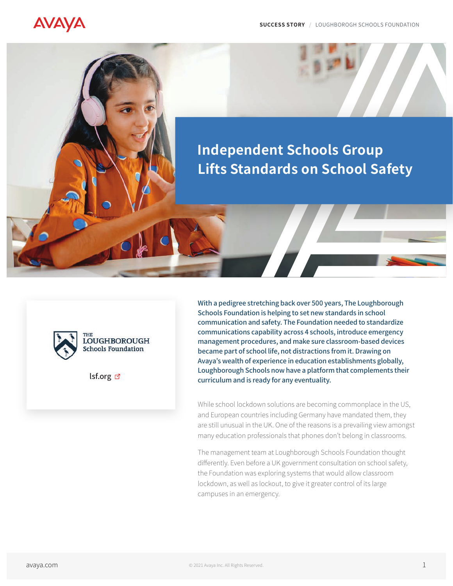# **AVAYA**

# **Independent Schools Group Lifts Standards on School Safety**



[lsf.org](http://lsf.org) Ø

With a pedigree stretching back over 500 years, The Loughborough Schools Foundation is helping to set new standards in school communication and safety. The Foundation needed to standardize communications capability across 4 schools, introduce emergency management procedures, and make sure classroom-based devices became part of school life, not distractions from it. Drawing on Avaya's wealth of experience in education establishments globally, Loughborough Schools now have a platform that complements their curriculum and is ready for any eventuality.

While school lockdown solutions are becoming commonplace in the US, and European countries including Germany have mandated them, they are still unusual in the UK. One of the reasons is a prevailing view amongst many education professionals that phones don't belong in classrooms.

The management team at Loughborough Schools Foundation thought differently. Even before a UK government consultation on school safety, the Foundation was exploring systems that would allow classroom lockdown, as well as lockout, to give it greater control of its large campuses in an emergency.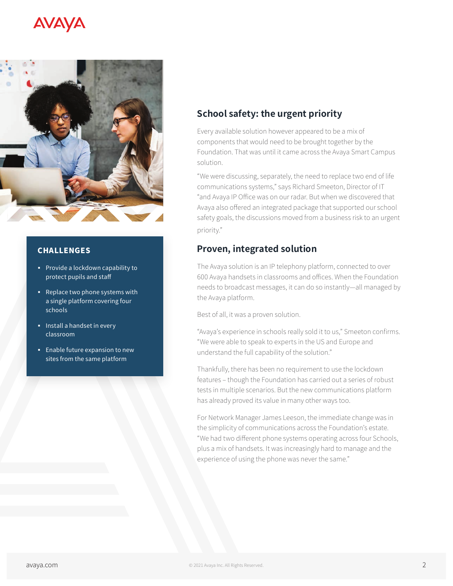## **AVAYA**



#### CHALLENGES

- § Provide a lockdown capability to protect pupils and staff
- § Replace two phone systems with a single platform covering four schools
- **•** Install a handset in every classroom
- **Enable future expansion to new** sites from the same platform

## **School safety: the urgent priority**

Every available solution however appeared to be a mix of components that would need to be brought together by the Foundation. That was until it came across the Avaya Smart Campus solution.

"We were discussing, separately, the need to replace two end of life communications systems," says Richard Smeeton, Director of IT "and Avaya IP Office was on our radar. But when we discovered that Avaya also offered an integrated package that supported our school safety goals, the discussions moved from a business risk to an urgent priority."

## **Proven, integrated solution**

The Avaya solution is an IP telephony platform, connected to over 600 Avaya handsets in classrooms and offices. When the Foundation needs to broadcast messages, it can do so instantly—all managed by the Avaya platform.

Best of all, it was a proven solution.

"Avaya's experience in schools really sold it to us," Smeeton confirms. "We were able to speak to experts in the US and Europe and understand the full capability of the solution."

Thankfully, there has been no requirement to use the lockdown features – though the Foundation has carried out a series of robust tests in multiple scenarios. But the new communications platform has already proved its value in many other ways too.

For Network Manager James Leeson, the immediate change was in the simplicity of communications across the Foundation's estate. "We had two different phone systems operating across four Schools, plus a mix of handsets. It was increasingly hard to manage and the experience of using the phone was never the same."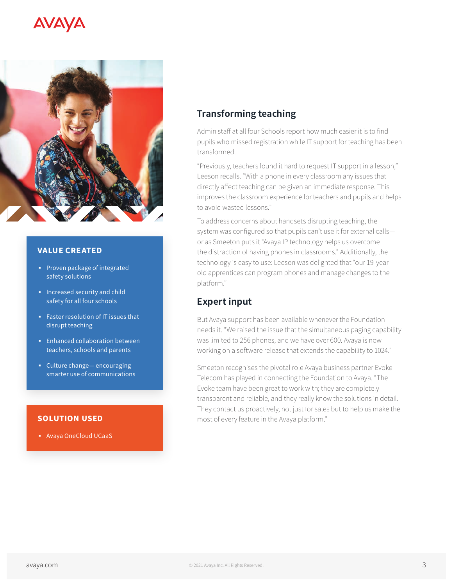## AVAVA



#### VALUE CREATED

- § Proven package of integrated safety solutions
- § Increased security and child safety for all four schools
- § Faster resolution of IT issues that disrupt teaching
- § Enhanced collaboration between teachers, schools and parents
- § Culture change— encouraging smarter use of communications

#### [SOLUTION USED](https://www.avaya.com/en/products/ucaas/)

§ Avaya OneCloud UCaaS

## **Transforming teaching**

Admin staff at all four Schools report how much easier it is to find pupils who missed registration while IT support for teaching has been transformed.

"Previously, teachers found it hard to request IT support in a lesson," Leeson recalls. "With a phone in every classroom any issues that directly affect teaching can be given an immediate response. This improves the classroom experience for teachers and pupils and helps to avoid wasted lessons."

To address concerns about handsets disrupting teaching, the system was configured so that pupils can't use it for external calls or as Smeeton puts it "Avaya IP technology helps us overcome the distraction of having phones in classrooms." Additionally, the technology is easy to use: Leeson was delighted that "our 19-yearold apprentices can program phones and manage changes to the platform."

## **Expert input**

But Avaya support has been available whenever the Foundation needs it. "We raised the issue that the simultaneous paging capability was limited to 256 phones, and we have over 600. Avaya is now working on a software release that extends the capability to 1024."

Smeeton recognises the pivotal role Avaya business partner Evoke Telecom has played in connecting the Foundation to Avaya. "The Evoke team have been great to work with; they are completely transparent and reliable, and they really know the solutions in detail. They contact us proactively, not just for sales but to help us make the most of every feature in the Avaya platform."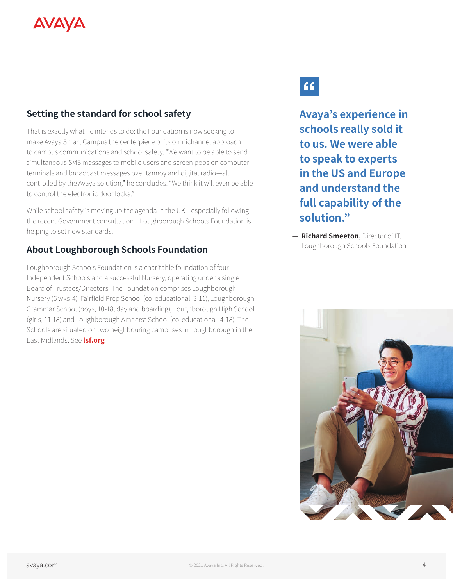# **AVAYA**

## **Setting the standard for school safety**

That is exactly what he intends to do: the Foundation is now seeking to make Avaya Smart Campus the centerpiece of its omnichannel approach to campus communications and school safety. "We want to be able to send simultaneous SMS messages to mobile users and screen pops on computer terminals and broadcast messages over tannoy and digital radio—all controlled by the Avaya solution," he concludes. "We think it will even be able to control the electronic door locks."

While school safety is moving up the agenda in the UK—especially following the recent Government consultation—Loughborough Schools Foundation is helping to set new standards.

## **About Loughborough Schools Foundation**

Loughborough Schools Foundation is a charitable foundation of four Independent Schools and a successful Nursery, operating under a single Board of Trustees/Directors. The Foundation comprises Loughborough Nursery (6 wks-4), Fairfield Prep School (co-educational, 3-11), Loughborough Grammar School (boys, 10-18, day and boarding), Loughborough High School (girls, 11-18) and Loughborough Amherst School (co-educational, 4-18). The Schools are situated on two neighbouring campuses in Loughborough in the East Midlands. See **[lsf.org](http://www.lsf.org)**

# $66$

**Avaya's experience in schools really sold it to us. We were able to speak to experts in the US and Europe and understand the full capability of the solution."**

— **Richard Smeeton**, Director of IT, Loughborough Schools Foundation

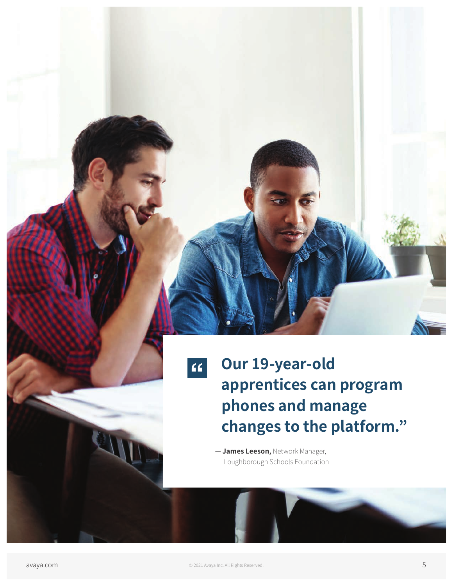$66$ 

**Our 19-year-old apprentices can program phones and manage changes to the platform."**

— **James Leeson**, Network Manager, Loughborough Schools Foundation